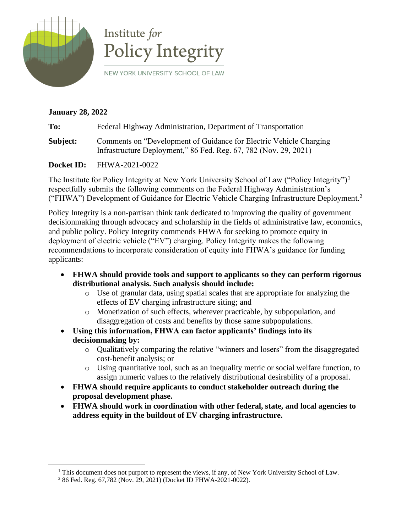



NEW YORK UNIVERSITY SCHOOL OF LAW

## **January 28, 2022**

**To:** Federal Highway Administration, Department of Transportation **Subject:** Comments on "Development of Guidance for Electric Vehicle Charging

Infrastructure Deployment," 86 Fed. Reg. 67, 782 (Nov. 29, 2021)

# **Docket ID:** FHWA-2021-0022

The Institute for Policy Integrity at New York University School of Law ("Policy Integrity")<sup>1</sup> respectfully submits the following comments on the Federal Highway Administration's ("FHWA") Development of Guidance for Electric Vehicle Charging Infrastructure Deployment.<sup>2</sup>

Policy Integrity is a non-partisan think tank dedicated to improving the quality of government decisionmaking through advocacy and scholarship in the fields of administrative law, economics, and public policy. Policy Integrity commends FHWA for seeking to promote equity in deployment of electric vehicle ("EV") charging. Policy Integrity makes the following recommendations to incorporate consideration of equity into FHWA's guidance for funding applicants:

- **FHWA should provide tools and support to applicants so they can perform rigorous distributional analysis. Such analysis should include:**
	- o Use of granular data, using spatial scales that are appropriate for analyzing the effects of EV charging infrastructure siting; and
	- o Monetization of such effects, wherever practicable, by subpopulation, and disaggregation of costs and benefits by those same subpopulations.
- **Using this information, FHWA can factor applicants' findings into its decisionmaking by:**
	- o Qualitatively comparing the relative "winners and losers" from the disaggregated cost-benefit analysis; or
	- o Using quantitative tool, such as an inequality metric or social welfare function, to assign numeric values to the relatively distributional desirability of a proposal.
- **FHWA should require applicants to conduct stakeholder outreach during the proposal development phase.**
- **FHWA should work in coordination with other federal, state, and local agencies to address equity in the buildout of EV charging infrastructure.**

<sup>&</sup>lt;sup>1</sup> This document does not purport to represent the views, if any, of New York University School of Law.

<sup>2</sup> 86 Fed. Reg. 67,782 (Nov. 29, 2021) (Docket ID FHWA-2021-0022).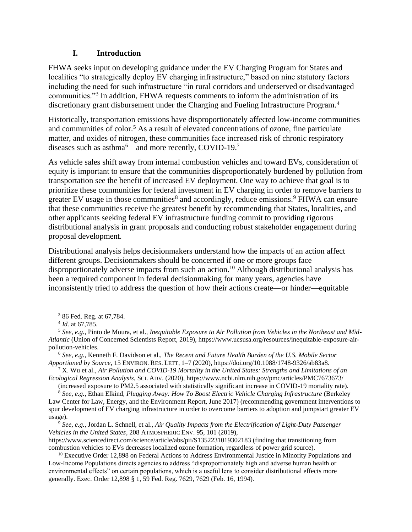#### **I. Introduction**

FHWA seeks input on developing guidance under the EV Charging Program for States and localities "to strategically deploy EV charging infrastructure," based on nine statutory factors including the need for such infrastructure "in rural corridors and underserved or disadvantaged communities."<sup>3</sup> In addition, FHWA requests comments to inform the administration of its discretionary grant disbursement under the Charging and Fueling Infrastructure Program.<sup>4</sup>

Historically, transportation emissions have disproportionately affected low-income communities and communities of color.<sup>5</sup> As a result of elevated concentrations of ozone, fine particulate matter, and oxides of nitrogen, these communities face increased risk of chronic respiratory diseases such as asthma<sup>6</sup>—and more recently, COVID-19.<sup>7</sup>

As vehicle sales shift away from internal combustion vehicles and toward EVs, consideration of equity is important to ensure that the communities disproportionately burdened by pollution from transportation see the benefit of increased EV deployment. One way to achieve that goal is to prioritize these communities for federal investment in EV charging in order to remove barriers to greater EV usage in those communities<sup>8</sup> and accordingly, reduce emissions.<sup>9</sup> FHWA can ensure that these communities receive the greatest benefit by recommending that States, localities, and other applicants seeking federal EV infrastructure funding commit to providing rigorous distributional analysis in grant proposals and conducting robust stakeholder engagement during proposal development.

Distributional analysis helps decisionmakers understand how the impacts of an action affect different groups. Decisionmakers should be concerned if one or more groups face disproportionately adverse impacts from such an action.<sup>10</sup> Although distributional analysis has been a required component in federal decisionmaking for many years, agencies have inconsistently tried to address the question of how their actions create—or hinder—equitable

(increased exposure to PM2.5 associated with statistically significant increase in COVID-19 mortality rate).

<sup>8</sup> *See, e.g.*, Ethan Elkind, *Plugging Away: How To Boost Electric Vehicle Charging Infrastructure* (Berkeley Law Center for Law, Energy, and the Environment Report, June 2017) (recommending government interventions to spur development of EV charging infrastructure in order to overcome barriers to adoption and jumpstart greater EV usage).

<sup>9</sup> *See, e.g.*, Jordan L. Schnell, et al., *Air Quality Impacts from the Electrification of Light-Duty Passenger Vehicles in the United States*, 208 ATMOSPHERIC ENV. 95, 101 (2019),

https://www.sciencedirect.com/science/article/abs/pii/S1352231019302183 (finding that transitioning from combustion vehicles to EVs decreases localized ozone formation, regardless of power grid source).

<sup>10</sup> Executive Order 12,898 on Federal Actions to Address Environmental Justice in Minority Populations and Low-Income Populations directs agencies to address "disproportionately high and adverse human health or environmental effects" on certain populations, which is a useful lens to consider distributional effects more generally. Exec. Order 12,898 § 1, 59 Fed. Reg. 7629, 7629 (Feb. 16, 1994).

<sup>3</sup> 86 Fed. Reg. at 67,784.

<sup>4</sup> *Id.* at 67,785.

<sup>5</sup> *See, e.g.*, Pinto de Moura, et al., *Inequitable Exposure to Air Pollution from Vehicles in the Northeast and Mid-Atlantic* (Union of Concerned Scientists Report, 2019), https://www.ucsusa.org/resources/inequitable-exposure-airpollution-vehicles.

<sup>6</sup> *See, e.g.*, Kenneth F. Davidson et al., *The Recent and Future Health Burden of the U.S. Mobile Sector Apportioned by Source*, 15 ENVIRON. RES. LETT, 1–7 (2020), https://doi.org/10.1088/1748-9326/ab83a8.

<sup>7</sup> X. Wu et al., *Air Pollution and COVID-19 Mortality in the United States: Strengths and Limitations of an Ecological Regression Analysis*, SCI. ADV. (2020), https://www.ncbi.nlm.nih.gov/pmc/articles/PMC7673673/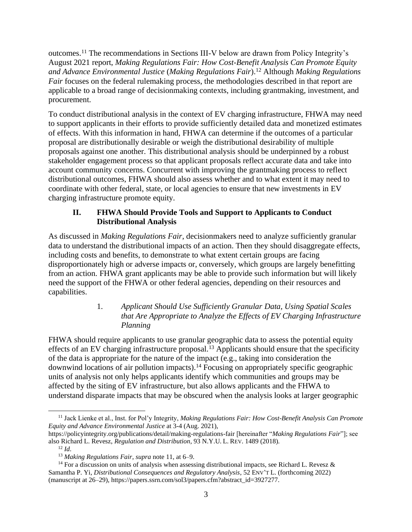<span id="page-2-0"></span>outcomes.<sup>11</sup> The recommendations in Sections III-V below are drawn from Policy Integrity's August 2021 report, *Making Regulations Fair: How Cost-Benefit Analysis Can Promote Equity and Advance Environmental Justice* (*Making Regulations Fair*).<sup>12</sup> Although *Making Regulations Fair* focuses on the federal rulemaking process, the methodologies described in that report are applicable to a broad range of decisionmaking contexts, including grantmaking, investment, and procurement.

To conduct distributional analysis in the context of EV charging infrastructure, FHWA may need to support applicants in their efforts to provide sufficiently detailed data and monetized estimates of effects. With this information in hand, FHWA can determine if the outcomes of a particular proposal are distributionally desirable or weigh the distributional desirability of multiple proposals against one another. This distributional analysis should be underpinned by a robust stakeholder engagement process so that applicant proposals reflect accurate data and take into account community concerns. Concurrent with improving the grantmaking process to reflect distributional outcomes, FHWA should also assess whether and to what extent it may need to coordinate with other federal, state, or local agencies to ensure that new investments in EV charging infrastructure promote equity.

### **II. FHWA Should Provide Tools and Support to Applicants to Conduct Distributional Analysis**

As discussed in *Making Regulations Fair*, decisionmakers need to analyze sufficiently granular data to understand the distributional impacts of an action. Then they should disaggregate effects, including costs and benefits, to demonstrate to what extent certain groups are facing disproportionately high or adverse impacts or, conversely, which groups are largely benefitting from an action. FHWA grant applicants may be able to provide such information but will likely need the support of the FHWA or other federal agencies, depending on their resources and capabilities.

# <span id="page-2-1"></span>1. *Applicant Should Use Sufficiently Granular Data, Using Spatial Scales that Are Appropriate to Analyze the Effects of EV Charging Infrastructure Planning*

FHWA should require applicants to use granular geographic data to assess the potential equity effects of an EV charging infrastructure proposal.<sup>13</sup> Applicants should ensure that the specificity of the data is appropriate for the nature of the impact (e.g., taking into consideration the downwind locations of air pollution impacts).<sup>14</sup> Focusing on appropriately specific geographic units of analysis not only helps applicants identify which communities and groups may be affected by the siting of EV infrastructure, but also allows applicants and the FHWA to understand disparate impacts that may be obscured when the analysis looks at larger geographic

<sup>11</sup> Jack Lienke et al., Inst. for Pol'y Integrity, *Making Regulations Fair: How Cost-Benefit Analysis Can Promote Equity and Advance Environmental Justice* at 3-4 (Aug. 2021),

<https://policyintegrity.org/publications/detail/making-regulations-fair> [hereinafter "*Making Regulations Fair*"]; see also Richard L. Revesz, *Regulation and Distribution*, 93 N.Y.U. L. REV. 1489 (2018).

 $12 \, Id.$ 

<sup>13</sup> *Making Regulations Fair*, *supra* not[e 11,](#page-2-0) at 6–9.

<sup>&</sup>lt;sup>14</sup> For a discussion on units of analysis when assessing distributional impacts, see Richard L. Revesz & Samantha P. Yi, *Distributional Consequences and Regulatory Analysis*, 52 ENV'T L. (forthcoming 2022) (manuscript at 26–29), https://papers.ssrn.com/sol3/papers.cfm?abstract\_id=3927277.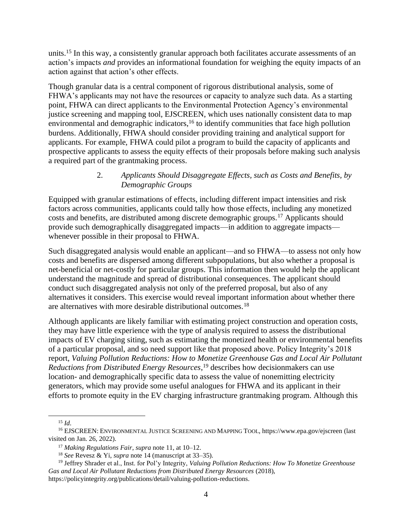units.<sup>15</sup> In this way, a consistently granular approach both facilitates accurate assessments of an action's impacts *and* provides an informational foundation for weighing the equity impacts of an action against that action's other effects.

Though granular data is a central component of rigorous distributional analysis, some of FHWA's applicants may not have the resources or capacity to analyze such data. As a starting point, FHWA can direct applicants to the Environmental Protection Agency's environmental justice screening and mapping tool, EJSCREEN, which uses nationally consistent data to map environmental and demographic indicators,  $16$  to identify communities that face high pollution burdens. Additionally, FHWA should consider providing training and analytical support for applicants. For example, FHWA could pilot a program to build the capacity of applicants and prospective applicants to assess the equity effects of their proposals before making such analysis a required part of the grantmaking process.

### 2. *Applicants Should Disaggregate Effects, such as Costs and Benefits, by Demographic Groups*

Equipped with granular estimations of effects, including different impact intensities and risk factors across communities, applicants could tally how those effects, including any monetized costs and benefits, are distributed among discrete demographic groups.<sup>17</sup> Applicants should provide such demographically disaggregated impacts—in addition to aggregate impacts whenever possible in their proposal to FHWA.

Such disaggregated analysis would enable an applicant—and so FHWA—to assess not only how costs and benefits are dispersed among different subpopulations, but also whether a proposal is net-beneficial or net-costly for particular groups. This information then would help the applicant understand the magnitude and spread of distributional consequences. The applicant should conduct such disaggregated analysis not only of the preferred proposal, but also of any alternatives it considers. This exercise would reveal important information about whether there are alternatives with more desirable distributional outcomes.<sup>18</sup>

Although applicants are likely familiar with estimating project construction and operation costs, they may have little experience with the type of analysis required to assess the distributional impacts of EV charging siting, such as estimating the monetized health or environmental benefits of a particular proposal, and so need support like that proposed above. Policy Integrity's 2018 report, *Valuing Pollution Reductions: How to Monetize Greenhouse Gas and Local Air Pollutant Reductions from Distributed Energy Resources*, <sup>19</sup> describes how decisionmakers can use location- and demographically specific data to assess the value of nonemitting electricity generators, which may provide some useful analogues for FHWA and its applicant in their efforts to promote equity in the EV charging infrastructure grantmaking program. Although this

https://policyintegrity.org/publications/detail/valuing-pollution-reductions.

<sup>15</sup> *Id*.

<sup>16</sup> EJSCREEN: ENVIRONMENTAL JUSTICE SCREENING AND MAPPING TOOL[, https://www.epa.gov/ejscreen](https://www.epa.gov/ejscreen) (last visited on Jan. 26, 2022).

<sup>17</sup> *Making Regulations Fair*, *supra* not[e 11,](#page-2-0) at 10–12.

<sup>18</sup> *See* Revesz & Yi, *supra* not[e 14](#page-2-1) (manuscript at 33–35).

<sup>19</sup> Jeffrey Shrader et al., Inst. for Pol'y Integrity, *Valuing Pollution Reductions: How To Monetize Greenhouse Gas and Local Air Pollutant Reductions from Distributed Energy Resources* (2018),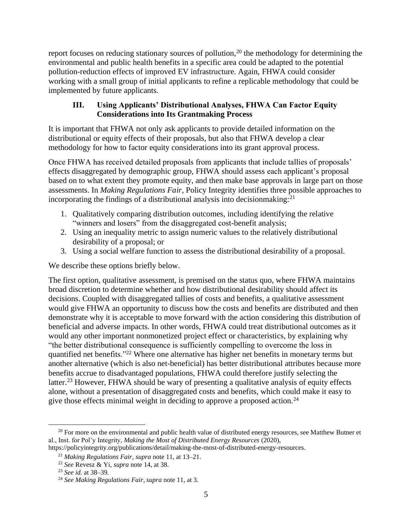report focuses on reducing stationary sources of pollution,<sup>20</sup> the methodology for determining the environmental and public health benefits in a specific area could be adapted to the potential pollution-reduction effects of improved EV infrastructure. Again, FHWA could consider working with a small group of initial applicants to refine a replicable methodology that could be implemented by future applicants.

## **III. Using Applicants' Distributional Analyses, FHWA Can Factor Equity Considerations into Its Grantmaking Process**

It is important that FHWA not only ask applicants to provide detailed information on the distributional or equity effects of their proposals, but also that FHWA develop a clear methodology for how to factor equity considerations into its grant approval process.

Once FHWA has received detailed proposals from applicants that include tallies of proposals' effects disaggregated by demographic group, FHWA should assess each applicant's proposal based on to what extent they promote equity, and then make base approvals in large part on those assessments. In *Making Regulations Fair*, Policy Integrity identifies three possible approaches to incorporating the findings of a distributional analysis into decisionmaking:<sup>21</sup>

- 1. Qualitatively comparing distribution outcomes, including identifying the relative "winners and losers" from the disaggregated cost-benefit analysis;
- 2. Using an inequality metric to assign numeric values to the relatively distributional desirability of a proposal; or
- 3. Using a social welfare function to assess the distributional desirability of a proposal.

We describe these options briefly below.

The first option, qualitative assessment, is premised on the status quo, where FHWA maintains broad discretion to determine whether and how distributional desirability should affect its decisions. Coupled with disaggregated tallies of costs and benefits, a qualitative assessment would give FHWA an opportunity to discuss how the costs and benefits are distributed and then demonstrate why it is acceptable to move forward with the action considering this distribution of beneficial and adverse impacts. In other words, FHWA could treat distributional outcomes as it would any other important nonmonetized project effect or characteristics, by explaining why "the better distributional consequence is sufficiently compelling to overcome the loss in quantified net benefits."<sup>22</sup> Where one alternative has higher net benefits in monetary terms but another alternative (which is also net-beneficial) has better distributional attributes because more benefits accrue to disadvantaged populations, FHWA could therefore justify selecting the latter.<sup>23</sup> However, FHWA should be wary of presenting a qualitative analysis of equity effects alone, without a presentation of disaggregated costs and benefits, which could make it easy to give those effects minimal weight in deciding to approve a proposed action.<sup>24</sup>

<sup>&</sup>lt;sup>20</sup> For more on the environmental and public health value of distributed energy resources, see Matthew Butner et al., Inst. for Pol'y Integrity, *Making the Most of Distributed Energy Resources* (2020),

[https://policyintegrity.org/publications/detail/making-the-most-of-distributed-energy-resources.](https://policyintegrity.org/publications/detail/making-the-most-of-distributed-energy-resources)

<sup>21</sup> *Making Regulations Fair*, *supra* not[e 11,](#page-2-0) at 13–21.

<sup>22</sup> *See* Revesz & Yi, *supra* not[e 14,](#page-2-1) at 38.

<sup>23</sup> *See id.* at 38–39.

<sup>24</sup> *See Making Regulations Fair*, *supra* note [11,](#page-2-0) at 3.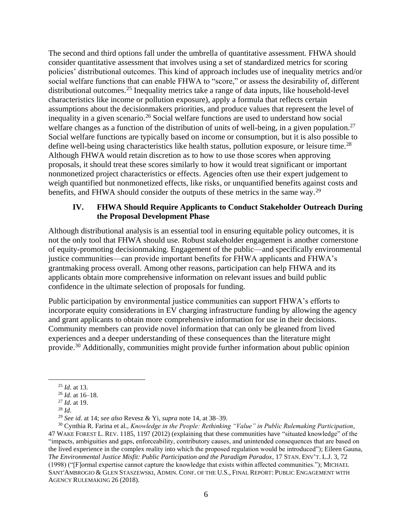The second and third options fall under the umbrella of quantitative assessment. FHWA should consider quantitative assessment that involves using a set of standardized metrics for scoring policies' distributional outcomes. This kind of approach includes use of inequality metrics and/or social welfare functions that can enable FHWA to "score," or assess the desirability of, different distributional outcomes.<sup>25</sup> Inequality metrics take a range of data inputs, like household-level characteristics like income or pollution exposure), apply a formula that reflects certain assumptions about the decisionmakers priorities, and produce values that represent the level of inequality in a given scenario.<sup>26</sup> Social welfare functions are used to understand how social welfare changes as a function of the distribution of units of well-being, in a given population.<sup>27</sup> Social welfare functions are typically based on income or consumption, but it is also possible to define well-being using characteristics like health status, pollution exposure, or leisure time.<sup>28</sup> Although FHWA would retain discretion as to how to use those scores when approving proposals, it should treat these scores similarly to how it would treat significant or important nonmonetized project characteristics or effects. Agencies often use their expert judgement to weigh quantified but nonmonetized effects, like risks, or unquantified benefits against costs and benefits, and FHWA should consider the outputs of these metrics in the same way.<sup>29</sup>

#### **IV. FHWA Should Require Applicants to Conduct Stakeholder Outreach During the Proposal Development Phase**

Although distributional analysis is an essential tool in ensuring equitable policy outcomes, it is not the only tool that FHWA should use. Robust stakeholder engagement is another cornerstone of equity-promoting decisionmaking. Engagement of the public—and specifically environmental justice communities—can provide important benefits for FHWA applicants and FHWA's grantmaking process overall. Among other reasons, participation can help FHWA and its applicants obtain more comprehensive information on relevant issues and build public confidence in the ultimate selection of proposals for funding.

Public participation by environmental justice communities can support FHWA's efforts to incorporate equity considerations in EV charging infrastructure funding by allowing the agency and grant applicants to obtain more comprehensive information for use in their decisions. Community members can provide novel information that can only be gleaned from lived experiences and a deeper understanding of these consequences than the literature might provide. <sup>30</sup> Additionally, communities might provide further information about public opinion

<sup>30</sup> Cynthia R. Farina et al., *Knowledge in the People: Rethinking "Value" in Public Rulemaking Participation*, 47 WAKE FOREST L. REV. 1185, 1197 (2012) (explaining that these communities have "situated knowledge" of the "impacts, ambiguities and gaps, enforceability, contributory causes, and unintended consequences that are based on the lived experience in the complex reality into which the proposed regulation would be introduced"); Eileen Gauna, *The Environmental Justice Misfit: Public Participation and the Paradigm Paradox*, 17 STAN. ENV'T. L.J. 3, 72 (1998) ("[F]ormal expertise cannot capture the knowledge that exists within affected communities."); MICHAEL SANT'AMBROGIO & GLEN STASZEWSKI, ADMIN. CONF. OF THE U.S., FINAL REPORT: PUBLIC ENGAGEMENT WITH AGENCY RULEMAKING 26 (2018).

<span id="page-5-0"></span><sup>25</sup> *Id*. at 13.

<sup>26</sup> *Id*. at 16–18.

<sup>27</sup> *Id*. at 19.

<sup>28</sup> *Id*.

<sup>29</sup> *See id.* at 14; *see also* Revesz & Yi, *supra* not[e 14,](#page-2-1) at 38–39.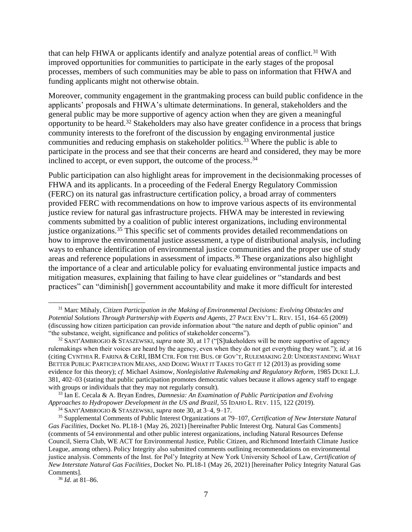that can help FHWA or applicants identify and analyze potential areas of conflict.<sup>31</sup> With improved opportunities for communities to participate in the early stages of the proposal processes, members of such communities may be able to pass on information that FHWA and funding applicants might not otherwise obtain.

Moreover, community engagement in the grantmaking process can build public confidence in the applicants' proposals and FHWA's ultimate determinations. In general, stakeholders and the general public may be more supportive of agency action when they are given a meaningful opportunity to be heard.<sup>32</sup> Stakeholders may also have greater confidence in a process that brings community interests to the forefront of the discussion by engaging environmental justice communities and reducing emphasis on stakeholder politics.<sup>33</sup> Where the public is able to participate in the process and see that their concerns are heard and considered, they may be more inclined to accept, or even support, the outcome of the process.<sup>34</sup>

Public participation can also highlight areas for improvement in the decisionmaking processes of FHWA and its applicants. In a proceeding of the Federal Energy Regulatory Commission (FERC) on its natural gas infrastructure certification policy, a broad array of commenters provided FERC with recommendations on how to improve various aspects of its environmental justice review for natural gas infrastructure projects. FHWA may be interested in reviewing comments submitted by a coalition of public interest organizations, including environmental justice organizations.<sup>35</sup> This specific set of comments provides detailed recommendations on how to improve the environmental justice assessment, a type of distributional analysis, including ways to enhance identification of environmental justice communities and the proper use of study areas and reference populations in assessment of impacts.<sup>36</sup> These organizations also highlight the importance of a clear and articulable policy for evaluating environmental justice impacts and mitigation measures, explaining that failing to have clear guidelines or "standards and best practices" can "diminish[] government accountability and make it more difficult for interested

<sup>33</sup> Ian E. Cecala & A. Bryan Endres, *Damnesia: An Examination of Public Participation and Evolving Approaches to Hydropower Development in the US and Brazil*, 55 IDAHO L. REV. 115, 122 (2019).

<sup>34</sup> SANT'AMBROGIO & STASZEWSKI, *supra* note [30,](#page-5-0) at 3–4, 9–17.

<sup>31</sup> Marc Mihaly, *Citizen Participation in the Making of Environmental Decisions: Evolving Obstacles and Potential Solutions Through Partnership with Experts and Agents*, 27 PACE ENV'T L. REV. 151, 164–65 (2009) (discussing how citizen participation can provide information about "the nature and depth of public opinion" and "the substance, weight, significance and politics of stakeholder concerns").

<sup>32</sup> SANT'AMBROGIO & STASZEWSKI, *supra* note [30,](#page-5-0) at 17 ("[S]takeholders will be more supportive of agency rulemakings when their voices are heard by the agency, even when they do not get everything they want."); *id.* at 16 (citing CYNTHIA R. FARINA & CERI, IBM CTR. FOR THE BUS. OF GOV'T, RULEMAKING 2.0: UNDERSTANDING WHAT BETTER PUBLIC PARTICIPATION MEANS, AND DOING WHAT IT TAKES TO GET IT 12 (2013) as providing some evidence for this theory); *cf.* Michael Asimow, *Nonlegislative Rulemaking and Regulatory Reform*, 1985 DUKE L.J. 381, 402–03 (stating that public participation promotes democratic values because it allows agency staff to engage with groups or individuals that they may not regularly consult).

<sup>35</sup> Supplemental Comments of Public Interest Organizations at 79–107, *Certification of New Interstate Natural Gas Facilities*, Docket No. PL18-1 (May 26, 2021) [hereinafter Public Interest Org. Natural Gas Comments] (comments of 54 environmental and other public interest organizations, including Natural Resources Defense Council, Sierra Club, WE ACT for Environmental Justice, Public Citizen, and Richmond Interfaith Climate Justice League, among others). Policy Integrity also submitted comments outlining recommendations on environmental justice analysis. Comments of the Inst. for Pol'y Integrity at New York University School of Law, *Certification of New Interstate Natural Gas Facilities*, Docket No. PL18-1 (May 26, 2021) [hereinafter Policy Integrity Natural Gas Comments].

<sup>36</sup> *Id*. at 81–86.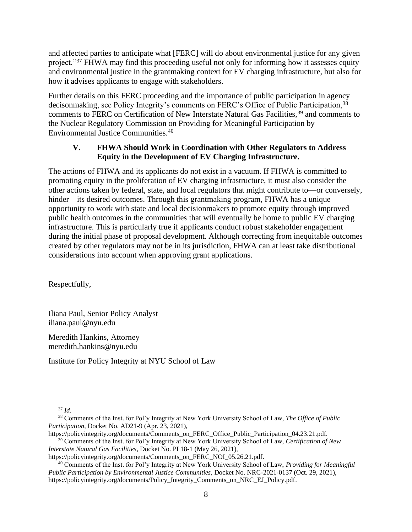and affected parties to anticipate what [FERC] will do about environmental justice for any given project."<sup>37</sup> FHWA may find this proceeding useful not only for informing how it assesses equity and environmental justice in the grantmaking context for EV charging infrastructure, but also for how it advises applicants to engage with stakeholders.

Further details on this FERC proceeding and the importance of public participation in agency decisonmaking, see Policy Integrity's comments on FERC's Office of Public Participation,<sup>38</sup> comments to FERC on Certification of New Interstate Natural Gas Facilities,<sup>39</sup> and comments to the Nuclear Regulatory Commission on Providing for Meaningful Participation by Environmental Justice Communities.<sup>40</sup>

### **V. FHWA Should Work in Coordination with Other Regulators to Address Equity in the Development of EV Charging Infrastructure.**

The actions of FHWA and its applicants do not exist in a vacuum. If FHWA is committed to promoting equity in the proliferation of EV charging infrastructure, it must also consider the other actions taken by federal, state, and local regulators that might contribute to—or conversely, hinder—its desired outcomes. Through this grantmaking program, FHWA has a unique opportunity to work with state and local decisionmakers to promote equity through improved public health outcomes in the communities that will eventually be home to public EV charging infrastructure. This is particularly true if applicants conduct robust stakeholder engagement during the initial phase of proposal development. Although correcting from inequitable outcomes created by other regulators may not be in its jurisdiction, FHWA can at least take distributional considerations into account when approving grant applications.

Respectfully,

Iliana Paul, Senior Policy Analyst iliana.paul@nyu.edu

Meredith Hankins, Attorney meredith.hankins@nyu.edu

Institute for Policy Integrity at NYU School of Law

<sup>37</sup> *Id.*

<sup>38</sup> Comments of the Inst. for Pol'y Integrity at New York University School of Law, *The Office of Public Participation*, Docket No. AD21-9 (Apr. 23, 2021),

[https://policyintegrity.org/documents/Comments\\_on\\_FERC\\_Office\\_Public\\_Participation\\_04.23.21.pdf.](https://policyintegrity.org/documents/Comments_on_FERC_Office_Public_Participation_04.23.21.pdf) <sup>39</sup> Comments of the Inst. for Pol'y Integrity at New York University School of Law, *Certification of New Interstate Natural Gas Facilities*, Docket No. PL18-1 (May 26, 2021),

https://policyintegrity.org/documents/Comments\_on\_FERC\_NOI\_05.26.21.pdf.

<sup>40</sup> Comments of the Inst. for Pol'y Integrity at New York University School of Law, *Providing for Meaningful Public Participation by Environmental Justice Communities,* Docket No. NRC-2021-0137 (Oct. 29, 2021), [https://policyintegrity.org/documents/Policy\\_Integrity\\_Comments\\_on\\_NRC\\_EJ\\_Policy.pdf.](https://policyintegrity.org/documents/Policy_Integrity_Comments_on_NRC_EJ_Policy.pdf)